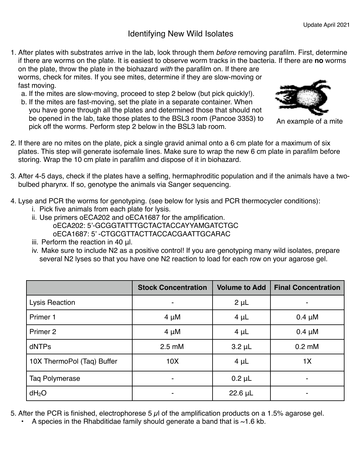## Identifying New Wild Isolates

- 1. After plates with substrates arrive in the lab, look through them *before* removing parafilm. First, determine if there are worms on the plate. It is easiest to observe worm tracks in the bacteria. If there are **no** worms on the plate, throw the plate in the biohazard *with* the parafilm on. If there are worms, check for mites. If you see mites, determine if they are slow-moving or fast moving.
	- a. If the mites are slow-moving, proceed to step 2 below (but pick quickly!).
	- b. If the mites are fast-moving, set the plate in a separate container. When you have gone through all the plates and determined those that should not be opened in the lab, take those plates to the BSL3 room (Pancoe 3353) to pick off the worms. Perform step 2 below in the BSL3 lab room.



An example of a mite

- 2. If there are no mites on the plate, pick a single gravid animal onto a 6 cm plate for a maximum of six plates. This step will generate isofemale lines. Make sure to wrap the new 6 cm plate in parafilm before storing. Wrap the 10 cm plate in parafilm and dispose of it in biohazard.
- 3. After 4-5 days, check if the plates have a selfing, hermaphroditic population and if the animals have a twobulbed pharynx. If so, genotype the animals via Sanger sequencing.
- 4. Lyse and PCR the worms for genotyping. (see below for lysis and PCR thermocycler conditions):
	- i. Pick five animals from each plate for lysis.
	- ii. Use primers oECA202 and oECA1687 for the amplification. oECA202: 5'-GCGGTATTTGCTACTACCAYYAMGATCTGC oECA1687: 5' -CTGCGTTACTTACCACGAATTGCARAC
	- iii. Perform the reaction in 40 μl.
	- iv. Make sure to include N2 as a positive control! If you are genotyping many wild isolates, prepare several N2 lyses so that you have one N2 reaction to load for each row on your agarose gel.

|                            | <b>Stock Concentration</b> | <b>Volume to Add</b> | <b>Final Concentration</b> |
|----------------------------|----------------------------|----------------------|----------------------------|
| <b>Lysis Reaction</b>      |                            | $2 \mu L$            |                            |
| Primer 1                   | $4 \mu M$                  | $4 \mu L$            | $0.4 \mu M$                |
| Primer 2                   | $4 \mu M$                  | $4 \mu L$            | $0.4 \mu M$                |
| dNTPs                      | $2.5 \text{ mM}$           | $3.2 \mu L$          | $0.2 \text{ mM}$           |
| 10X ThermoPol (Taq) Buffer | 10X                        | $4 \mu L$            | 1X                         |
| <b>Taq Polymerase</b>      |                            | $0.2 \mu L$          |                            |
| dH <sub>2</sub> O          |                            | $22.6 \mu L$         |                            |

- 5. After the PCR is finished, electrophorese 5  $\mu$  of the amplification products on a 1.5% agarose gel.
	- A species in the Rhabditidae family should generate a band that is  $~1.6$  kb.